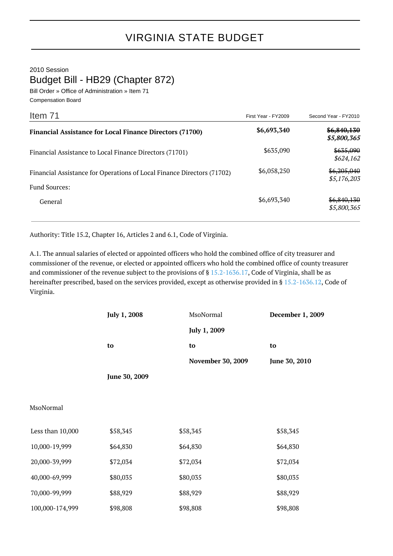2010 Session

Budget Bill - HB29 (Chapter 872)

Bill Order » Office of Administration » Item 71 Compensation Board

| Item 71                                                                | First Year - FY2009 | Second Year - FY2010       |
|------------------------------------------------------------------------|---------------------|----------------------------|
| <b>Financial Assistance for Local Finance Directors (71700)</b>        | \$6,693,340         | \$6,840,130<br>\$5,800,365 |
| Financial Assistance to Local Finance Directors (71701)                | \$635,090           | \$635,090<br>\$624,162     |
| Financial Assistance for Operations of Local Finance Directors (71702) | \$6,058,250         | \$6,205,040<br>\$5,176,203 |
| <b>Fund Sources:</b>                                                   |                     |                            |
| General                                                                | \$6,693,340         | \$6,840,130<br>\$5,800,365 |

Authority: Title 15.2, Chapter 16, Articles 2 and 6.1, Code of Virginia.

A.1. The annual salaries of elected or appointed officers who hold the combined office of city treasurer and commissioner of the revenue, or elected or appointed officers who hold the combined office of county treasurer and commissioner of the revenue subject to the provisions of § [15.2-1636.17](http://law.lis.virginia.gov/vacode/15.2-1636.17/), Code of Virginia, shall be as hereinafter prescribed, based on the services provided, except as otherwise provided in § [15.2-1636.12,](http://law.lis.virginia.gov/vacode/15.2-1636.12/) Code of Virginia.

|                  | July 1, 2008  | MsoNormal                | December 1, 2009 |
|------------------|---------------|--------------------------|------------------|
|                  |               | July 1, 2009             |                  |
|                  | to            | to                       | to               |
|                  |               | <b>November 30, 2009</b> | June 30, 2010    |
|                  | June 30, 2009 |                          |                  |
|                  |               |                          |                  |
| MsoNormal        |               |                          |                  |
| Less than 10,000 | \$58,345      | \$58,345                 | \$58,345         |
| 10,000-19,999    | \$64,830      | \$64,830                 | \$64,830         |
| 20,000-39,999    | \$72,034      | \$72,034                 | \$72,034         |
| 40,000-69,999    | \$80,035      | \$80,035                 | \$80,035         |
| 70,000-99,999    | \$88,929      | \$88,929                 | \$88,929         |
| 100,000-174,999  | \$98,808      | \$98,808                 | \$98,808         |